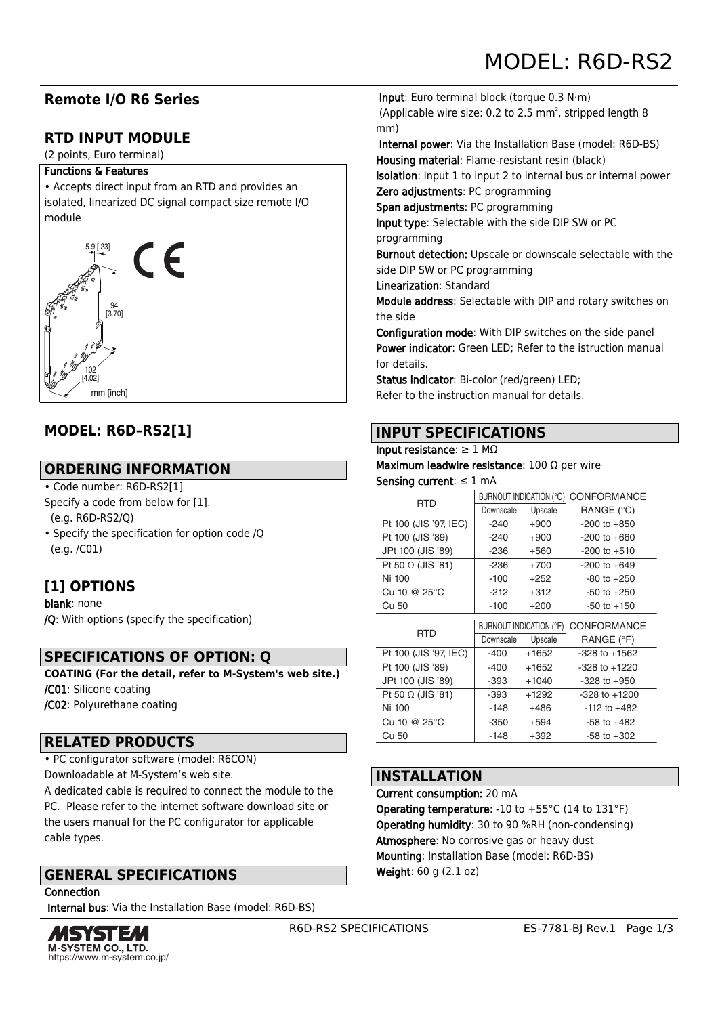# **Remote I/O R6 Series**

# **RTD INPUT MODULE**

(2 points, Euro terminal)

#### Functions & Features

• Accepts direct input from an RTD and provides an isolated, linearized DC signal compact size remote I/O module



# **MODEL: R6D–RS2[1]**

## **ORDERING INFORMATION**

## • Code number: R6D-RS2[1]

- Specify a code from below for [1].
- (e.g. R6D-RS2/Q)
- Specify the specification for option code /Q (e.g. /C01)

# **[1] OPTIONS**

blank: none /Q: With options (specify the specification)

# **SPECIFICATIONS OF OPTION: Q**

**COATING (For the detail, refer to M-System's web site.)** /C01: Silicone coating /C02: Polyurethane coating

## **RELATED PRODUCTS**

• PC configurator software (model: R6CON)

Downloadable at M-System's web site.

A dedicated cable is required to connect the module to the PC. Please refer to the internet software download site or the users manual for the PC configurator for applicable cable types.

# **GENERAL SPECIFICATIONS**

**Connection** 

Internal bus: Via the Installation Base (model: R6D-BS)



 Input: Euro terminal block (torque 0.3 N·m) (Applicable wire size: 0.2 to 2.5 mm<sup>2</sup>, stripped length 8 mm)

 Internal power: Via the Installation Base (model: R6D-BS) Housing material: Flame-resistant resin (black)

Isolation: Input 1 to input 2 to internal bus or internal power

Zero adjustments: PC programming

Span adjustments: PC programming

Input type: Selectable with the side DIP SW or PC programming

Burnout detection: Upscale or downscale selectable with the side DIP SW or PC programming

Linearization: Standard

Module address: Selectable with DIP and rotary switches on the side

Configuration mode: With DIP switches on the side panel Power indicator: Green LED; Refer to the istruction manual for details.

Status indicator: Bi-color (red/green) LED; Refer to the instruction manual for details.

## **INPUT SPECIFICATIONS**

#### Input resistance:  $\geq 1$  MΩ

Maximum leadwire resistance: 100 Ω per wire Sensing current: ≤ 1 mA

|  | <b>RTD</b>               | BURNOUT INDICATION (°C) |         | <b>CONFORMANCE</b> |  |
|--|--------------------------|-------------------------|---------|--------------------|--|
|  |                          | Downscale               | Upscale | RANGE (°C)         |  |
|  | Pt 100 (JIS '97, IEC)    | $-240$                  | $+900$  | $-200$ to $+850$   |  |
|  | Pt 100 (JIS '89)         | $-240$                  | $+900$  | $-200$ to $+660$   |  |
|  | JPt 100 (JIS '89)        | $-236$                  | $+560$  | $-200$ to $+510$   |  |
|  | Pt 50 $\Omega$ (JIS '81) | $-236$                  | $+700$  | $-200$ to $+649$   |  |
|  | Ni 100                   | $-100$                  | $+252$  | $-80$ to $+250$    |  |
|  | Cu 10 @ $25^{\circ}$ C   | $-212$                  | $+312$  | $-50$ to $+250$    |  |
|  | Cu 50                    | $-100$                  | $+200$  | $-50$ to $+150$    |  |

| <b>RTD</b>               | BURNOUT INDICATION (°F) |         | CONFORMANCE       |
|--------------------------|-------------------------|---------|-------------------|
|                          | Downscale               | Upscale | RANGE (°F)        |
| Pt 100 (JIS '97, IEC)    | $-400$                  | $+1652$ | $-328$ to $+1562$ |
| Pt 100 (JIS '89)         | $-400$                  | $+1652$ | $-328$ to $+1220$ |
| JPt 100 (JIS '89)        | $-393$                  | $+1040$ | $-328$ to $+950$  |
| Pt 50 $\Omega$ (JIS '81) | -393                    | $+1292$ | $-328$ to $+1200$ |
| Ni 100                   | $-148$                  | $+486$  | $-112$ to $+482$  |
| Cu 10 @ 25°C             | $-350$                  | $+594$  | $-58$ to $+482$   |
| Cu 50                    | $-148$                  | $+392$  | $-58$ to $+302$   |

## **INSTALLATION**

Current consumption: 20 mA **Operating temperature:** -10 to  $+55^{\circ}$ C (14 to 131 $^{\circ}$ F) Operating humidity: 30 to 90 %RH (non-condensing) Atmosphere: No corrosive gas or heavy dust Mounting: Installation Base (model: R6D-BS) Weight: 60 g (2.1 oz)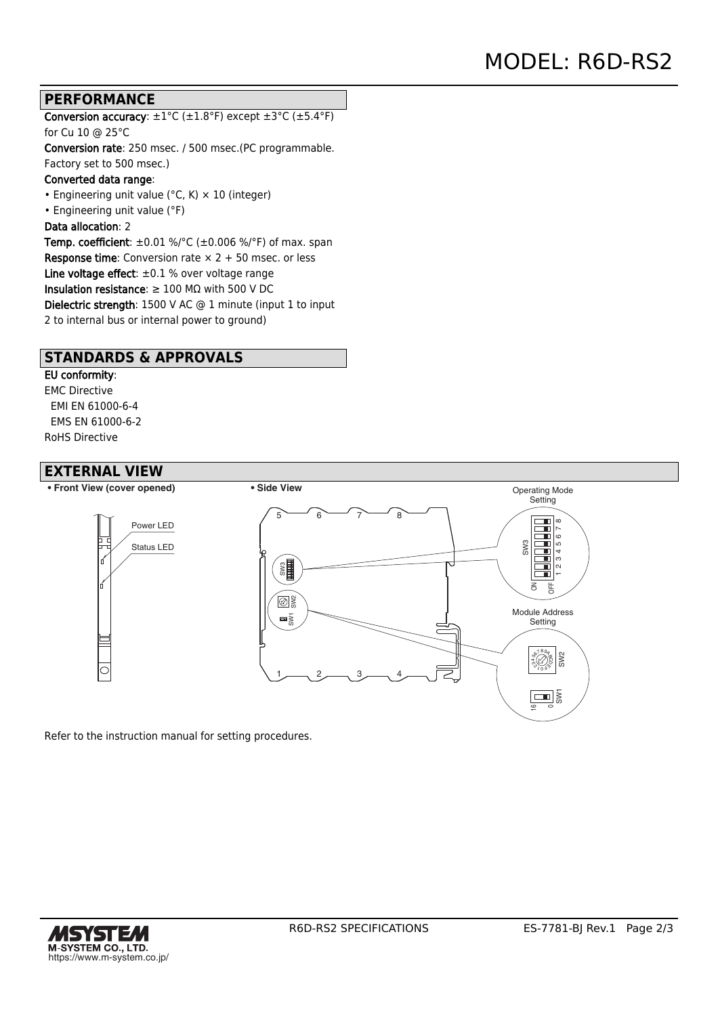### **PERFORMANCE**

Conversion accuracy:  $\pm 1^{\circ}$ C ( $\pm 1.8^{\circ}$ F) except  $\pm 3^{\circ}$ C ( $\pm 5.4^{\circ}$ F) for Cu 10 @ 25°C

Conversion rate: 250 msec. / 500 msec.(PC programmable. Factory set to 500 msec.)

#### Converted data range:

• Engineering unit value ( $°C$ , K)  $\times$  10 (integer)

• Engineering unit value (°F)

#### Data allocation: 2

Temp. coefficient:  $\pm 0.01$  %/°C ( $\pm 0.006$  %/°F) of max. span **Response time:** Conversion rate  $\times$  2 + 50 msec. or less Line voltage effect:  $\pm 0.1$  % over voltage range Insulation resistance:  $\geq 100$  M $\Omega$  with 500 V DC Dielectric strength: 1500 V AC @ 1 minute (input 1 to input 2 to internal bus or internal power to ground)

### **STANDARDS & APPROVALS**

#### EU conformity:

EMC Directive EMI EN 61000-6-4 EMS EN 61000-6-2 RoHS Directive

### **EXTERNAL VIEW**



Refer to the instruction manual for setting procedures.